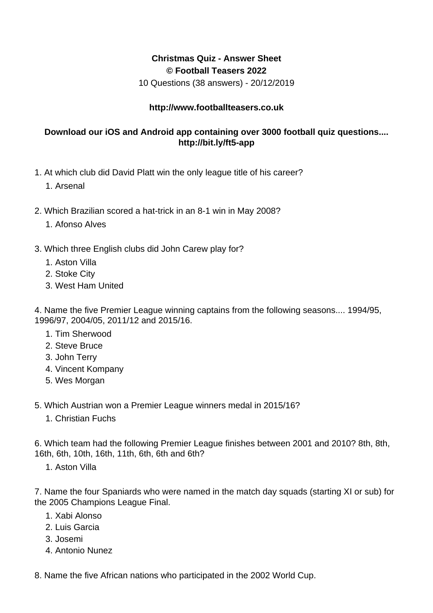## **Christmas Quiz - Answer Sheet © Football Teasers 2022**

10 Questions (38 answers) - 20/12/2019

## **http://www.footballteasers.co.uk**

## **Download our iOS and Android app containing over 3000 football quiz questions.... http://bit.ly/ft5-app**

- 1. At which club did David Platt win the only league title of his career?
	- 1. Arsenal
- 2. Which Brazilian scored a hat-trick in an 8-1 win in May 2008?
	- 1. Afonso Alves
- 3. Which three English clubs did John Carew play for?
	- 1. Aston Villa
	- 2. Stoke City
	- 3. West Ham United

4. Name the five Premier League winning captains from the following seasons.... 1994/95, 1996/97, 2004/05, 2011/12 and 2015/16.

- 1. Tim Sherwood
- 2. Steve Bruce
- 3. John Terry
- 4. Vincent Kompany
- 5. Wes Morgan
- 5. Which Austrian won a Premier League winners medal in 2015/16?
	- 1. Christian Fuchs

6. Which team had the following Premier League finishes between 2001 and 2010? 8th, 8th, 16th, 6th, 10th, 16th, 11th, 6th, 6th and 6th?

1. Aston Villa

7. Name the four Spaniards who were named in the match day squads (starting XI or sub) for the 2005 Champions League Final.

- 1. Xabi Alonso
- 2. Luis Garcia
- 3. Josemi
- 4. Antonio Nunez
- 8. Name the five African nations who participated in the 2002 World Cup.